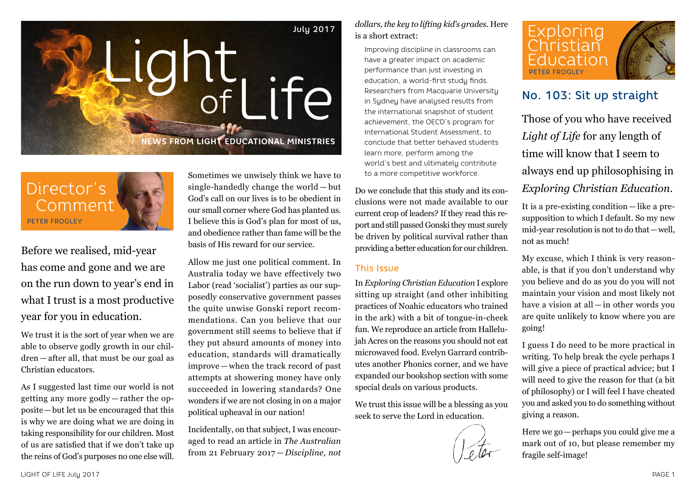



Before we realised, mid-year has come and gone and we are on the run down to year's end in what I trust is a most productive year for you in education.

We trust it is the sort of year when we are able to observe godly growth in our children — after all, that must be our goal as Christian educators.

As I suggested last time our world is not getting any more godly — rather the opposite—but let us be encouraged that this is why we are doing what we are doing in taking responsibility for our children. Most of us are satisfied that if we don't take up the reins of God's purposes no one else will.

Sometimes we unwisely think we have to single-handedly change the world — but God's call on our lives is to be obedient in our small corner where God has planted us. I believe this is God's plan for most of us, and obedience rather than fame will be the basis of His reward for our service.

Allow me just one political comment. In Australia today we have effectively two Labor (read 'socialist') parties as our supposedly conservative government passes the quite unwise Gonski report recommendations. Can you believe that our government still seems to believe that if they put absurd amounts of money into education, standards will dramatically improve — when the track record of past attempts at showering money have only succeeded in lowering standards? One wonders if we are not closing in on a major political upheaval in our nation!

Incidentally, on that subject, I was encouraged to read an article in *The Australian* from 21 February 2017 — *Discipline, not*  *dollars, the key to lifting kid's grades*. Here is a short extract:

Improving discipline in classrooms can have a greater impact on academic performance than just investing in education, a world-first study finds. Researchers from Macquarie University in Sydney have analysed results from the international snapshot of student achievement, the OECD's program for International Student Assessment, to conclude that better behaved students learn more, perform among the world's best and ultimately contribute to a more competitive workforce.

Do we conclude that this study and its conclusions were not made available to our current crop of leaders? If they read this report and still passed Gonski they must surely be driven by political survival rather than providing a better education for our children.

#### This Issue

In *Exploring Christian Education* I explore sitting up straight (and other inhibiting practices of Noahic educators who trained in the ark) with a bit of tongue-in-cheek fun. We reproduce an article from Hallelujah Acres on the reasons you should not eat microwaved food. Evelyn Garrard contributes another Phonics corner, and we have expanded our bookshop section with some special deals on various products.

We trust this issue will be a blessing as you seek to serve the Lord in education.





## No. 103: Sit up straight

Those of you who have received *Light of Life* for any length of time will know that I seem to always end up philosophising in *Exploring Christian Education*.

It is a pre-existing condition — like a presupposition to which I default. So my new mid-year resolution is not to do that—well, not as much!

My excuse, which I think is very reasonable, is that if you don't understand why you believe and do as you do you will not maintain your vision and most likely not have a vision at all — in other words you are quite unlikely to know where you are going!

I guess I do need to be more practical in writing. To help break the cycle perhaps I will give a piece of practical advice; but I will need to give the reason for that (a bit of philosophy) or I will feel I have cheated you and asked you to do something without giving a reason.

Here we go—perhaps you could give me a mark out of 10, but please remember my fragile self-image!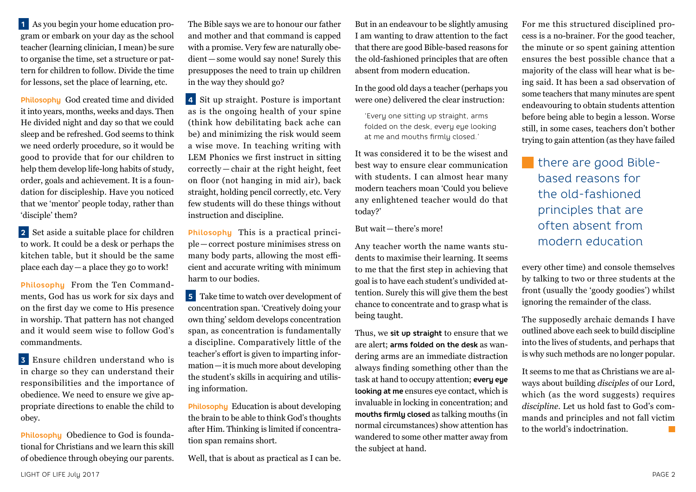**1** As you begin your home education program or embark on your day as the school teacher (learning clinician, I mean) be sure to organise the time, set a structure or pattern for children to follow. Divide the time for lessons, set the place of learning, etc.

**Philosophy** God created time and divided it into years, months, weeks and days. Then He divided night and day so that we could sleep and be refreshed. God seems to think we need orderly procedure, so it would be good to provide that for our children to help them develop life-long habits of study, order, goals and achievement. It is a foundation for discipleship. Have you noticed that we 'mentor' people today, rather than 'disciple' them?

**2** Set aside a suitable place for children to work. It could be a desk or perhaps the kitchen table, but it should be the same place each day—a place they go to work!

**Philosophy** From the Ten Commandments, God has us work for six days and on the first day we come to His presence in worship. That pattern has not changed and it would seem wise to follow God's commandments.

**3** Ensure children understand who is in charge so they can understand their responsibilities and the importance of obedience. We need to ensure we give appropriate directions to enable the child to obey.

**Philosophy** Obedience to God is foundational for Christians and we learn this skill of obedience through obeying our parents.

The Bible says we are to honour our father and mother and that command is capped with a promise. Very few are naturally obedient—some would say none! Surely this presupposes the need to train up children in the way they should go?

**4** Sit up straight. Posture is important as is the ongoing health of your spine (think how debilitating back ache can be) and minimizing the risk would seem a wise move. In teaching writing with LEM Phonics we first instruct in sitting correctly — chair at the right height, feet on floor (not hanging in mid air), back straight, holding pencil correctly, etc. Very few students will do these things without instruction and discipline.

**Philosophy** This is a practical principle—correct posture minimises stress on many body parts, allowing the most efficient and accurate writing with minimum harm to our bodies.

**5** Take time to watch over development of concentration span. 'Creatively doing your own thing' seldom develops concentration span, as concentration is fundamentally a discipline. Comparatively little of the teacher's effort is given to imparting information—it is much more about developing the student's skills in acquiring and utilising information.

**Philosophy** Education is about developing the brain to be able to think God's thoughts after Him. Thinking is limited if concentration span remains short.

Well, that is about as practical as I can be.

But in an endeavour to be slightly amusing I am wanting to draw attention to the fact that there are good Bible-based reasons for the old-fashioned principles that are often absent from modern education.

In the good old days a teacher (perhaps you were one) delivered the clear instruction:

'Every one sitting up straight, arms folded on the desk, every eye looking at me and mouths firmly closed.'

It was considered it to be the wisest and best way to ensure clear communication with students. I can almost hear many modern teachers moan 'Could you believe any enlightened teacher would do that today?'

#### But wait—there's more!

Any teacher worth the name wants students to maximise their learning. It seems to me that the first step in achieving that goal is to have each student's undivided attention. Surely this will give them the best chance to concentrate and to grasp what is being taught.

Thus, we **sit up straight** to ensure that we are alert; **arms folded on the desk** as wandering arms are an immediate distraction always finding something other than the task at hand to occupy attention; **every eye looking at me** ensures eye contact, which is invaluable in locking in concentration; and **mouths firmly closed** as talking mouths (in normal circumstances) show attention has wandered to some other matter away from the subject at hand.

For me this structured disciplined process is a no-brainer. For the good teacher, the minute or so spent gaining attention ensures the best possible chance that a majority of the class will hear what is being said. It has been a sad observation of some teachers that many minutes are spent endeavouring to obtain students attention before being able to begin a lesson. Worse still, in some cases, teachers don't bother trying to gain attention (as they have failed

there are good Biblebased reasons for the old-fashioned principles that are often absent from modern education

every other time) and console themselves by talking to two or three students at the front (usually the 'goody goodies') whilst ignoring the remainder of the class.

The supposedly archaic demands I have outlined above each seek to build discipline into the lives of students, and perhaps that is why such methods are no longer popular.

It seems to me that as Christians we are always about building *disciples* of our Lord, which (as the word suggests) requires *discipline*. Let us hold fast to God's commands and principles and not fall victim to the world's indoctrination.  $\sim$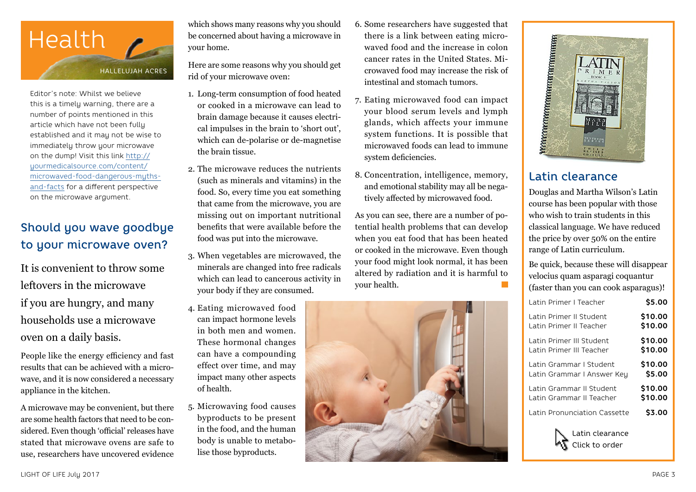

Editor's note: Whilst we believe this is a timely warning, there are a number of points mentioned in this article which have not been fully established and it may not be wise to immediately throw your microwave on the dump! Visit this link [http://](http://yourmedicalsource.com/content/microwaved-food-dangerous-myths-and-facts) [yourmedicalsource.com/content/](http://yourmedicalsource.com/content/microwaved-food-dangerous-myths-and-facts) [microwaved-food-dangerous-myths](http://yourmedicalsource.com/content/microwaved-food-dangerous-myths-and-facts)[and-facts](http://yourmedicalsource.com/content/microwaved-food-dangerous-myths-and-facts) for a different perspective on the microwave argument.

# Should you wave goodbye to your microwave oven?

It is convenient to throw some leftovers in the microwave if you are hungry, and many households use a microwave oven on a daily basis.

People like the energy efficiency and fast results that can be achieved with a microwave, and it is now considered a necessary appliance in the kitchen.

A microwave may be convenient, but there are some health factors that need to be considered. Even though 'official' releases have stated that microwave ovens are safe to use, researchers have uncovered evidence which shows many reasons why you should be concerned about having a microwave in your home.

Here are some reasons why you should get rid of your microwave oven:

- 1. Long-term consumption of food heated or cooked in a microwave can lead to brain damage because it causes electrical impulses in the brain to 'short out', which can de-polarise or de-magnetise the brain tissue.
- 2. The microwave reduces the nutrients (such as minerals and vitamins) in the food. So, every time you eat something that came from the microwave, you are missing out on important nutritional benefits that were available before the food was put into the microwave.
- 3. When vegetables are microwaved, the minerals are changed into free radicals which can lead to cancerous activity in your body if they are consumed.
- 4. Eating microwaved food can impact hormone levels in both men and women. These hormonal changes can have a compounding effect over time, and may impact many other aspects of health.
- 5. Microwaving food causes byproducts to be present in the food, and the human body is unable to metabolise those byproducts.
- 6. Some researchers have suggested that there is a link between eating microwaved food and the increase in colon cancer rates in the United States. Microwaved food may increase the risk of intestinal and stomach tumors.
- 7. Eating microwaved food can impact your blood serum levels and lymph glands, which affects your immune system functions. It is possible that microwaved foods can lead to immune system deficiencies.
- 8. Concentration, intelligence, memory, and emotional stability may all be negatively affected by microwaved food.
- As you can see, there are a number of potential health problems that can develop when you eat food that has been heated or cooked in the microwave. Even though your food might look normal, it has been altered by radiation and it is harmful to your health.



# Latin clearance

Douglas and Martha Wilson's Latin course has been popular with those who wish to train students in this classical language. We have reduced the price by over 50% on the entire range of Latin curriculum.

Be quick, because these will disappear velocius quam asparagi coquantur (faster than you can cook asparagus)!

| Latin Primer I Teacher       | \$5.00  |
|------------------------------|---------|
| Latin Primer II Student      | \$10.00 |
| Latin Primer II Teacher      | \$10.00 |
| Latin Primer III Student     | \$10.00 |
| Latin Primer III Teacher     | \$10.00 |
| Latin Grammar I Student      | \$10.00 |
| Latin Grammar I Answer Key   | \$5.00  |
| Latin Grammar II Student     | \$10.00 |
| Latin Grammar II Teacher     | \$10.00 |
| Latin Pronunciation Cassette | \$3.00  |
|                              |         |

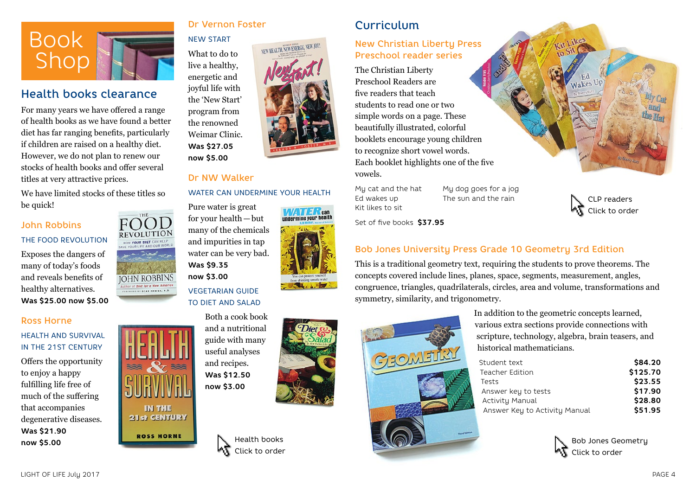

## Health books clearance

For many years we have offered a range of health books as we have found a better diet has far ranging benefits, particularly if children are raised on a healthy diet. However, we do not plan to renew our stocks of health books and offer several titles at very attractive prices.

We have limited stocks of these titles so be quick!

> REVOLUTION HOW YOUR DIET CAN HEL

ORENORD BY DEAN ORNISH, M.C

**IN THE** 21st CENTURY

**ROSS HORNE** 

### John Robbins THE FOOD REVOLUTION

Exposes the dangers of many of today's foods and reveals benefits of healthy alternatives. **Was \$25.00 now \$5.00**

#### Ross Horne

## HEALTH AND SURVIVAL IN THE 21ST CENTURY

Offers the opportunity to enjoy a happy fulfilling life free of much of the suffering that accompanies degenerative diseases. **Was \$21.90 now \$5.00**

## Dr Vernon Foster

What to do to live a healthy, energetic and joyful life with the 'New Start' program from the renowned Weimar Clinic. **Was \$27.05 now \$5.00**

NEW START

#### Dr NW Walker

#### WATER CAN UNDERMINE YOUR HEALTH

NEW HEALTH, NEW ENERGY, NEW JOY

Pure water is great for your health—but many of the chemicals and impurities in tap water can be very bad. **Was \$9.35 now \$3.00 IOHN ROBBINS** uthor of Diet for a New America VEGETARIAN GUIDE

## TO DIET AND SALAD Both a cook book

and a nutritional guide with many useful analyses and recipes. **Was \$12.50 now \$3.00**



Health books Click to order

# Curriculum

## New Christian Liberty Press Preschool reader series

The Christian Liberty Preschool Readers are five readers that teach students to read one or two simple words on a page. These beautifully illustrated, colorful booklets encourage young children to recognize short vowel words. Each booklet highlights one of the five vowels.

Ed wakes up The sun and the rain Kit likes to sit

My cat and the hat My dog goes for a jog



Set of five books **\$37.95**

## Bob Jones University Press Grade 10 Geometry 3rd Edition

This is a traditional geometry text, requiring the students to prove theorems. The concepts covered include lines, planes, space, segments, measurement, angles, congruence, triangles, quadrilaterals, circles, area and volume, transformations and symmetry, similarity, and trigonometry.



In addition to the geometric concepts learned, various extra sections provide connections with scripture, technology, algebra, brain teasers, and historical mathematicians.

| Student text                  | \$84.20  |
|-------------------------------|----------|
| Teacher Edition               | \$125.70 |
| Tests                         | \$23.55  |
| Answer key to tests           | \$17.90  |
| Activity Manual               | \$28.80  |
| Answer Key to Activity Manual | \$51.95  |



LIGHT OF LIFE July 2017 PAGE 4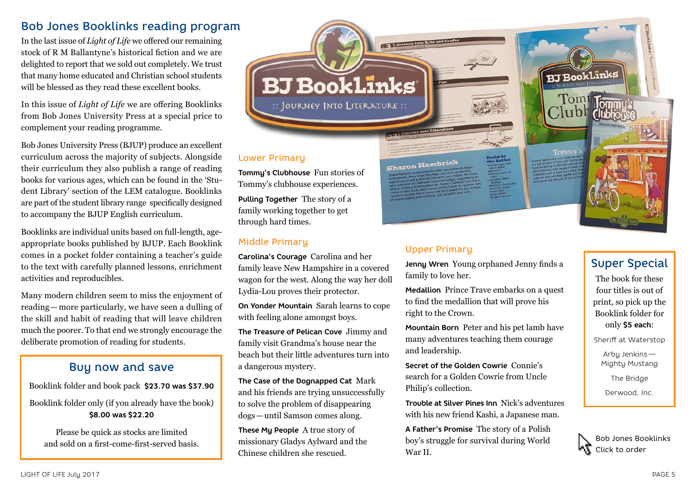# Bob Jones Booklinks reading program

In the last issue of *Light of Life* we offered our remaining stock of R M Ballantyne's historical fiction and we are delighted to report that we sold out completely. We trust that many home educated and Christian school students will be blessed as they read these excellent books.

In this issue of *Light of Life* we are offering Booklinks from Bob Jones University Press at a special price to complement your reading programme.

Bob Jones University Press (BJUP) produce an excellent curriculum across the majority of subjects. Alongside their curriculum they also publish a range of reading books for various ages, which can be found in the 'Student Library' section of the LEM catalogue. Booklinks are part of the student library range specifically designed to accompany the BJUP English curriculum.

Booklinks are individual units based on full-length, ageappropriate books published by BJUP. Each Booklink comes in a pocket folder containing a teacher's guide to the text with carefully planned lessons, enrichment activities and reproducibles.

Many modern children seem to miss the enjoyment of reading —more particularly, we have seen a dulling of the skill and habit of reading that will leave children much the poorer. To that end we strongly encourage the deliberate promotion of reading for students.

## Buy now and save

Booklink folder and book pack **\$23.70 was \$37.90**

Booklink folder only (if you already have the book) **\$8.00 was \$22.20**

Please be quick as stocks are limited and sold on a first-come-first-served basis. Lower Primary

**Tommy's Clubhouse** Fun stories of Tommy's clubhouse experiences.

**BJ BookLinks** 

:: JOURNEY INTO LITERATURE ::

**Pulling Together** The story of a family working together to get through hard times.

## Middle Primary

**Carolina's Courage** Carolina and her family leave New Hampshire in a covered wagon for the west. Along the way her doll Lydia-Lou proves their protector.

**On Yonder Mountain** Sarah learns to cope with feeling alone amongst boys.

**The Treasure of Pelican Cove** Jimmy and family visit Grandma's house near the beach but their little adventures turn into a dangerous mystery.

**The Case of the Dognapped Cat** Mark and his friends are trying unsuccessfully to solve the problem of disappearing dogs—until Samson comes along.

**These My People** A true story of missionary Gladys Aylward and the Chinese children she rescued.

Sharon Hambrick



**BJ BookLinks** 

## Upper Primary

**Jenny Wren** Young orphaned Jenny finds a family to love her.

**Medallion** Prince Trave embarks on a quest to find the medallion that will prove his right to the Crown.

**Mountain Born** Peter and his pet lamb have many adventures teaching them courage and leadership.

**Secret of the Golden Cowrie** Connie's search for a Golden Cowrie from Uncle Philip's collection.

**Trouble at Silver Pines Inn** Nick's adventures with his new friend Kashi, a Japanese man.

**A Father's Promise** The story of a Polish boy's struggle for survival during World War II.

## Super Special

The book for these four titles is out of print, so pick up the Booklink folder for only **\$5 each**:

Sheriff at Waterstop

Arby Jenkins — Mighty Mustang

The Bridge

Derwood, Inc.